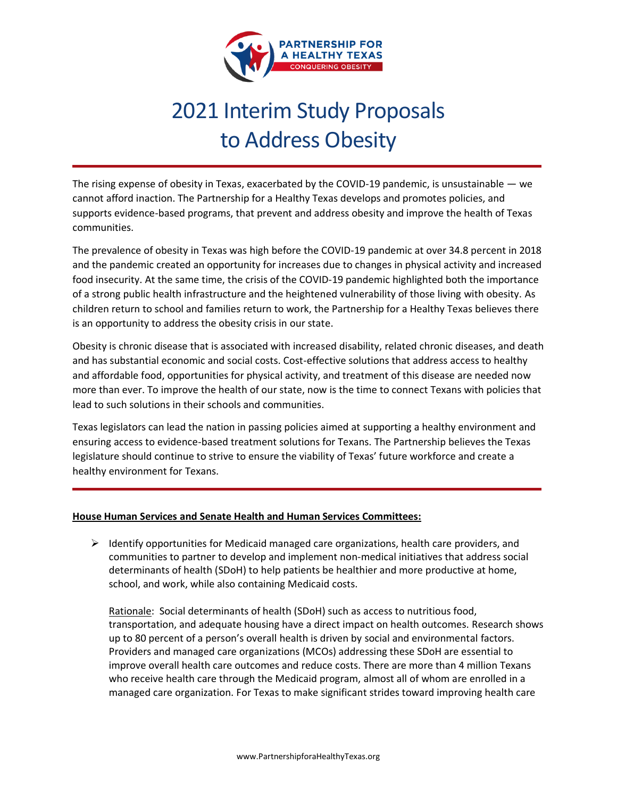

# 2021 Interim Study Proposals to Address Obesity

The rising expense of obesity in Texas, exacerbated by the COVID-19 pandemic, is unsustainable  $-$  we cannot afford inaction. The Partnership for a Healthy Texas develops and promotes policies, and supports evidence-based programs, that prevent and address obesity and improve the health of Texas communities.

The prevalence of obesity in Texas was high before the COVID-19 pandemic at over 34.8 percent in 2018 and the pandemic created an opportunity for increases due to changes in physical activity and increased food insecurity. At the same time, the crisis of the COVID-19 pandemic highlighted both the importance of a strong public health infrastructure and the heightened vulnerability of those living with obesity. As children return to school and families return to work, the Partnership for a Healthy Texas believes there is an opportunity to address the obesity crisis in our state.

Obesity is chronic disease that is associated with increased disability, related chronic diseases, and death and has substantial economic and social costs. Cost-effective solutions that address access to healthy and affordable food, opportunities for physical activity, and treatment of this disease are needed now more than ever. To improve the health of our state, now is the time to connect Texans with policies that lead to such solutions in their schools and communities.

Texas legislators can lead the nation in passing policies aimed at supporting a healthy environment and ensuring access to evidence-based treatment solutions for Texans. The Partnership believes the Texas legislature should continue to strive to ensure the viability of Texas' future workforce and create a healthy environment for Texans.

## **House Human Services and Senate Health and Human Services Committees:**

 $\triangleright$  Identify opportunities for Medicaid managed care organizations, health care providers, and communities to partner to develop and implement non-medical initiatives that address social determinants of health (SDoH) to help patients be healthier and more productive at home, school, and work, while also containing Medicaid costs.

Rationale: Social determinants of health (SDoH) such as access to nutritious food, transportation, and adequate housing have a direct impact on health outcomes. Research shows up to 80 percent of a person's overall health is driven by social and environmental factors. Providers and managed care organizations (MCOs) addressing these SDoH are essential to improve overall health care outcomes and reduce costs. There are more than 4 million Texans who receive health care through the Medicaid program, almost all of whom are enrolled in a managed care organization. For Texas to make significant strides toward improving health care